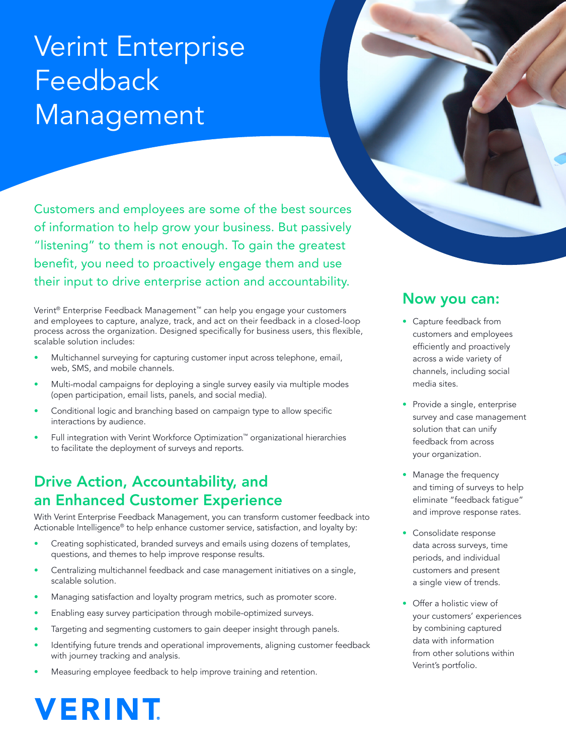# Verint Enterprise Feedback Management

Customers and employees are some of the best sources of information to help grow your business. But passively "listening" to them is not enough. To gain the greatest benefit, you need to proactively engage them and use their input to drive enterprise action and accountability.

Verint® Enterprise Feedback Management™ can help you engage your customers and employees to capture, analyze, track, and act on their feedback in a closed-loop process across the organization. Designed specifically for business users, this flexible, scalable solution includes:

- Multichannel surveying for capturing customer input across telephone, email, web, SMS, and mobile channels.
- Multi-modal campaigns for deploying a single survey easily via multiple modes (open participation, email lists, panels, and social media).
- Conditional logic and branching based on campaign type to allow specific interactions by audience.
- Full integration with Verint Workforce Optimization™ organizational hierarchies to facilitate the deployment of surveys and reports.

#### Drive Action, Accountability, and an Enhanced Customer Experience

With Verint Enterprise Feedback Management, you can transform customer feedback into Actionable Intelligence® to help enhance customer service, satisfaction, and loyalty by:

- Creating sophisticated, branded surveys and emails using dozens of templates, questions, and themes to help improve response results.
- Centralizing multichannel feedback and case management initiatives on a single, scalable solution.
- Managing satisfaction and loyalty program metrics, such as promoter score.
- Enabling easy survey participation through mobile-optimized surveys.
- Targeting and segmenting customers to gain deeper insight through panels.
- Identifying future trends and operational improvements, aligning customer feedback with journey tracking and analysis.
- Measuring employee feedback to help improve training and retention.

#### Now you can:

- Capture feedback from customers and employees efficiently and proactively across a wide variety of channels, including social media sites.
- Provide a single, enterprise survey and case management solution that can unify feedback from across your organization.
- Manage the frequency and timing of surveys to help eliminate "feedback fatigue" and improve response rates.
- Consolidate response data across surveys, time periods, and individual customers and present a single view of trends.
- Offer a holistic view of your customers' experiences by combining captured data with information from other solutions within Verint's portfolio.